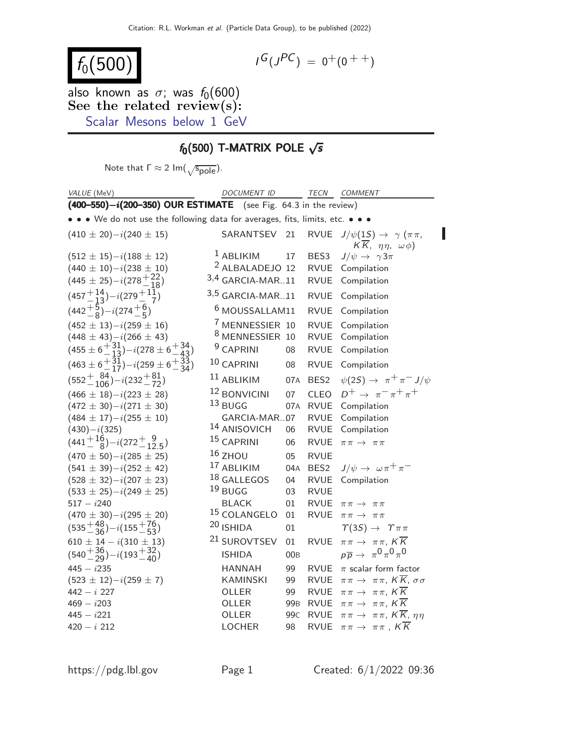# $f_0(500)$

$$
I^G(J^{PC}) = 0^+(0^{++})
$$

also known as  $\sigma$ ; was  $f_0(600)$ See the related review(s): [Scalar Mesons below 1 GeV](http://pdg.lbl.gov/2022/reviews/rpp2021-rev-scalar-mesons.pdf)

## $f_0(500)$  T-MATRIX POLE  $\sqrt{s}$

Note that  $\Gamma \approx 2 \text{ Im}(\sqrt{\text{s}_{\text{pole}}})$ .

| VALUE (MeV)                                                                    | DOCUMENT ID                |                 |                  | TECN COMMENT                                                                               |
|--------------------------------------------------------------------------------|----------------------------|-----------------|------------------|--------------------------------------------------------------------------------------------|
| $(400 - 550) - i(200 - 350)$ OUR ESTIMATE (see Fig. 64.3 in the review)        |                            |                 |                  |                                                                                            |
| • • We do not use the following data for averages, fits, limits, etc. • • •    |                            |                 |                  |                                                                                            |
| $(410 \pm 20)-i(240 \pm 15)$                                                   | SARANTSEV                  | 21              | <b>RVUE</b>      | $J/\psi(1S) \rightarrow \gamma (\pi \pi,$<br>$K\overline{K}$ , $\eta\eta$ , $\omega\phi$ ) |
| $(512 \pm 15)-i(188 \pm 12)$                                                   | $1$ ABLIKIM                | 17              | BES3             | $J/\psi \rightarrow \gamma 3\pi$                                                           |
| $(440 \pm 10)-i(238 \pm 10)$                                                   | <sup>2</sup> ALBALADEJO 12 |                 | <b>RVUE</b>      | Compilation                                                                                |
| $(445 \pm 25) - i(278 \frac{+22}{-18})$                                        | $3,4$ GARCIA-MAR11         |                 | <b>RVUE</b>      | Compilation                                                                                |
| $(457 + 14) - i(279 + 11)$                                                     | $3,5$ GARCIA-MAR11         |                 | <b>RVUE</b>      | Compilation                                                                                |
| $(442\frac{+5}{8})-i(274\frac{+6}{8})$                                         | <sup>6</sup> MOUSSALLAM11  |                 | <b>RVUE</b>      | Compilation                                                                                |
| $(452 \pm 13)-i(259 \pm 16)$                                                   | <sup>7</sup> MENNESSIER 10 |                 | <b>RVUE</b>      | Compilation                                                                                |
|                                                                                | <sup>8</sup> MENNESSIER 10 |                 | <b>RVUE</b>      | Compilation                                                                                |
| $(448 \pm 43)-i(266 \pm 43)$<br>$(455 \pm 6 + 31) -i(278 \pm 6 + 34)$<br>$-43$ | <sup>9</sup> CAPRINI       | 08              | <b>RVUE</b>      | Compilation                                                                                |
| $(463 \pm 6 + 31 \over 17) - i(259 \pm 6 + 33 \over 34)$                       | $10$ CAPRINI               | 08              | <b>RVUE</b>      | Compilation                                                                                |
| $(552 + {84 \over 106}) - i(232 + {81 \over 72})$                              | $11$ ABLIKIM               | 07A             | BES <sub>2</sub> | $\psi(2S) \rightarrow \pi^+ \pi^- J/\psi$                                                  |
| $(466 \pm 18)-i(223 \pm 28)$                                                   | 12 BONVICINI               | 07              | <b>CLEO</b>      | $D^+ \rightarrow \pi^- \pi^+ \pi^+$                                                        |
| $(472 \pm 30)-i(271 \pm 30)$                                                   | $13$ BUGG                  | 07A             | <b>RVUE</b>      | Compilation                                                                                |
| $(484 \pm 17)-i(255 \pm 10)$                                                   | GARCIA-MAR07               |                 | <b>RVUE</b>      | Compilation                                                                                |
| $(430)-i(325)$                                                                 | 14 ANISOVICH               | 06              | <b>RVUE</b>      | Compilation                                                                                |
| $(441 + {16 \over 8}) - i(272 + {9 \over 125})$                                | 15 CAPRINI                 | 06              | <b>RVUE</b>      | $\pi \pi \rightarrow \pi \pi$                                                              |
| $(470 \pm 50)-i(285 \pm 25)$                                                   | $16$ ZHOU                  | 05              | <b>RVUE</b>      |                                                                                            |
| $(541 \pm 39)-i(252 \pm 42)$                                                   | 17 ABLIKIM                 | 04A             | BES <sub>2</sub> | $J/\psi \rightarrow \omega \pi^+ \pi^-$                                                    |
| $(528 \pm 32)-i(207 \pm 23)$                                                   | $18$ GALLEGOS              | 04              | <b>RVUE</b>      | Compilation                                                                                |
| $(533 \pm 25)-i(249 \pm 25)$                                                   | $19$ BUGG                  | 03              | <b>RVUE</b>      |                                                                                            |
| $517 - i240$                                                                   | <b>BLACK</b>               | 01              | <b>RVUE</b>      | $\pi\,\pi\,\rightarrow\,\pi\,\pi$                                                          |
| $(470 \pm 30)-i(295 \pm 20)$                                                   | 15 COLANGELO               | 01              | <b>RVUE</b>      | $\pi\,\pi\,\rightarrow\,\pi\,\pi$                                                          |
| $(535 + \frac{48}{36}) - i(155 + \frac{76}{53})$                               | 20 ISHIDA                  | 01              |                  | $\Upsilon(3S) \rightarrow \Upsilon \pi \pi$                                                |
| $610 \pm 14 - i(310 \pm 13)$                                                   | <sup>21</sup> SUROVTSEV    | 01              | <b>RVUE</b>      | $\pi\pi \to \pi\pi$ , $K\overline{K}$                                                      |
| $(540 + \frac{36}{29}) - i(193 + \frac{32}{40})$                               | <b>ISHIDA</b>              | 00 <sub>B</sub> |                  | $p\overline{p} \rightarrow \pi^0 \pi^0 \pi^0$                                              |
| $445 - i235$                                                                   | <b>HANNAH</b>              | 99              | <b>RVUE</b>      | $\pi$ scalar form factor                                                                   |
| $(523 \pm 12)-i(259 \pm 7)$                                                    | <b>KAMINSKI</b>            | 99              | RVUE             | $\pi\pi\to \pi\pi$ , $K\overline{K}$ , $\sigma\sigma$                                      |
| $442 - i 227$                                                                  | OLLER                      | 99              | <b>RVUE</b>      | $\pi\pi \to \pi\pi$ , $K\overline{K}$                                                      |
| $469 - i203$                                                                   | OLLER                      | 99 <sub>B</sub> | <b>RVUE</b>      | $\pi\pi \to \pi\pi$ , $K\overline{K}$                                                      |
| $445 - i221$                                                                   | OLLER                      | 99 <sub>C</sub> | <b>RVUE</b>      | $\pi\pi \to \pi\pi$ , $K\overline{K}$ , $\eta\eta$                                         |
| $420 - i 212$                                                                  | <b>LOCHER</b>              | 98              | <b>RVUE</b>      | $\pi\pi\to \pi\pi$ , $K\overline{K}$                                                       |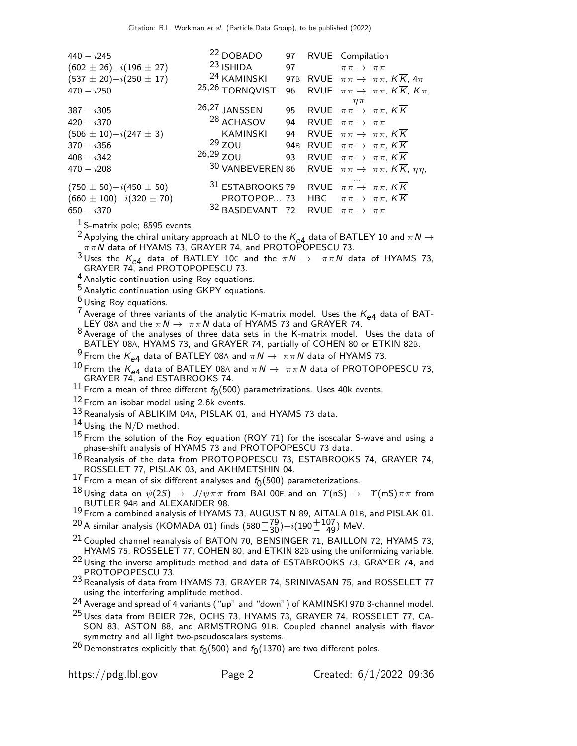| $440 - i245$                   | <sup>22</sup> DOBADO        |                 | 97 RVUE Compilation                                                     |
|--------------------------------|-----------------------------|-----------------|-------------------------------------------------------------------------|
| $(602 \pm 26)-i(196 \pm 27)$   | <sup>23</sup> ISHIDA        | 97              | $\pi\pi \rightarrow \pi\pi$                                             |
| $(537 \pm 20)-i(250 \pm 17)$   | <sup>24</sup> KAMINSKI 97B  |                 | RVUE $\pi \pi \rightarrow \pi \pi$ , $K \overline{K}$ , $4\pi$          |
| $470 - i250$                   | 25,26 TORNQVIST             | 96              | RVUE $\pi \pi \to \pi \pi$ , $K \overline{K}$ , $K \pi$ ,               |
| $387 - i305$                   | 26,27 JANSSEN               |                 | $\eta\pi$<br>95 RVUE $\pi \pi \rightarrow \pi \pi$ , KK                 |
| $420 - i370$                   | <sup>28</sup> ACHASOV       | 94              | RVUE $\pi \pi \rightarrow \pi \pi$                                      |
| $(506 \pm 10)-i(247 \pm 3)$    | <b>KAMINSKI</b>             | 94              | RVUE $\pi\pi \to \pi\pi$ , KK                                           |
| $370 - i356$                   | $29$ ZOU                    | 94 <sub>B</sub> | RVUE $\pi \pi \rightarrow \pi \pi$ , $K \overline{K}$                   |
| $408 - i342$                   | $26,29$ ZOU                 | 93              | RVUE $\pi \pi \rightarrow \pi \pi$ , $K \overline{K}$                   |
| $470 - i208$                   |                             |                 | 30 VANBEVEREN 86 RVUE $\pi \pi \rightarrow \pi \pi$ , KK, $\eta \eta$ , |
| $(750 \pm 50) - i(450 \pm 50)$ | <sup>31</sup> ESTABROOKS 79 |                 | RVUE $\pi\pi \to \pi\pi$ , KK                                           |
| $(660 \pm 100)-i(320 \pm 70)$  |                             |                 | PROTOPOP 73 HBC $\pi \pi \rightarrow \pi \pi$ , $K \overline{K}$        |
| $650 - i370$                   | 32 BASDEVANT                | 72              | RVUE $\pi \pi \rightarrow \pi \pi$                                      |

 $<sup>1</sup>$  S-matrix pole; 8595 events.</sup>

<sup>2</sup> Applying the chiral unitary approach at NLO to the  $K_{e4}$  data of BATLEY 10 and  $\pi N \rightarrow$  $\pi\pi\,N$  data of HYAMS 73, GRAYER 74, and PROTOPOPESCU 73.

<sup>3</sup> Uses the  $K_{e4}$  data of BATLEY 10C and the  $\pi N \to \pi \pi N$  data of HYAMS 73, GRAYER 74, and PROTOPOPESCU 73.

4 Analytic continuation using Roy equations.

5 Analytic continuation using GKPY equations.

 $6$  Using Roy equations.

<sup>7</sup> Average of three variants of the analytic K-matrix model. Uses the  $K_{e4}$  data of BAT-LEY 08A and the  $\pi N \to \pi \pi N$  data of HYAMS 73 and GRAYER 74.

 $8$  Average of the analyses of three data sets in the K-matrix model. Uses the data of BATLEY 08A, HYAMS 73, and GRAYER 74, partially of COHEN 80 or ETKIN 82B.

 $\frac{9}{2}$ From the  $K_{e4}$  data of BATLEY 08A and  $\pi N \to \pi \pi N$  data of HYAMS 73.

<sup>10</sup> From the K<sub>e4</sub> data of BATLEY 08A and  $\pi N \to \pi \pi N$  data of PROTOPOPESCU 73, GRAYER 74, and ESTABROOKS 74.

 $^{11}$  From a mean of three different  $f_{0}(500)$  parametrizations. Uses 40k events.

 $12$  From an isobar model using 2.6k events.

<sup>13</sup> Reanalysis of ABLIKIM 04A, PISLAK 01, and HYAMS 73 data.

 $14$  Using the N/D method.

 $^{15}$  From the solution of the Roy equation (ROY 71) for the isoscalar S-wave and using a phase-shift analysis of HYAMS 73 and PROTOPOPESCU 73 data.

 $^{16}$ Reanalysis of the data from PROTOPOPESCU 73, ESTABROOKS 74, GRAYER 74, ROSSELET 77, PISLAK 03, and AKHMETSHIN 04.

 $^{17}$  From a mean of six different analyses and  $f_0(500)$  parameterizations.

 $^{18}$ Using data on  $\psi(2S) \,\to\,\, J/\psi \pi \pi$  from BAI 00E and on  $\varUpsilon(\mathsf{nS}) \,\to\,\,\, \varUpsilon(\mathsf{mS}) \pi \pi$  from BUTLER 94B and ALEXANDER 98.

19 From a combined analysis of HYAMS 73, AUGUSTIN 89, AITALA 01B, and PISLAK 01.

 $^{20}$ A similar analysis (KOMADA 01) finds (580 $^{+79}_{-30}$ ) $-i(190^{+107}_{-49})$  MeV.

 $21$  Coupled channel reanalysis of BATON 70, BENSINGER 71, BAILLON 72, HYAMS 73, HYAMS 75, ROSSELET 77, COHEN 80, and ETKIN 82B using the uniformizing variable.

<sup>22</sup> Using the inverse amplitude method and data of ESTABROOKS 73, GRAYER 74, and PROTOPOPESCU 73.

23 Reanalysis of data from HYAMS 73, GRAYER 74, SRINIVASAN 75, and ROSSELET 77 using the interfering amplitude method.

24 Average and spread of 4 variants ("up" and "down") of KAMINSKI 97<sup>B</sup> 3-channel model.

<sup>25</sup> Uses data from BEIER 72B, OCHS 73, HYAMS 73, GRAYER 74, ROSSELET 77, CA-SON 83, ASTON 88, and ARMSTRONG 91B. Coupled channel analysis with flavor symmetry and all light two-pseudoscalars systems.

 $^{26}$ Demonstrates explicitly that  $\it f_{0}(500)$  and  $\it f_{0}(1370)$  are two different poles.

https://pdg.lbl.gov Page 2 Created: 6/1/2022 09:36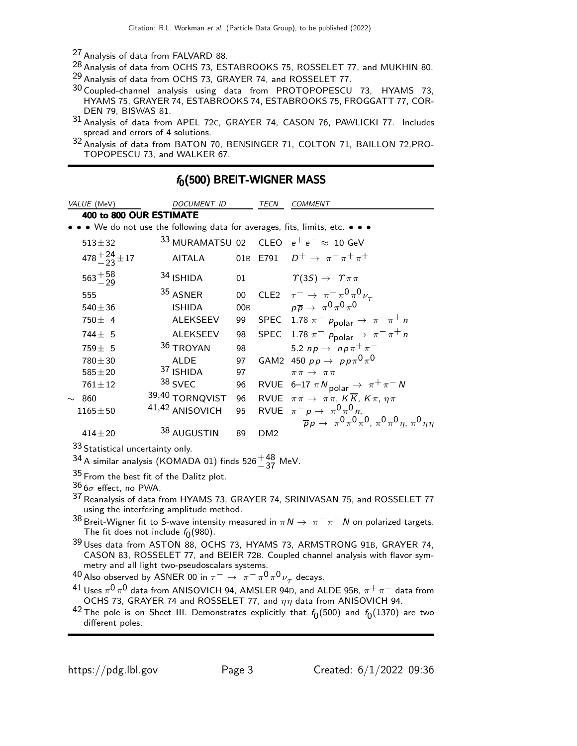<sup>27</sup> Analysis of data from FALVARD 88.

<sup>28</sup> Analysis of data from OCHS 73, ESTABROOKS 75, ROSSELET 77, and MUKHIN 80. <sup>29</sup> Analysis of data from OCHS 73, GRAYER 74, and ROSSELET 77.

- 30 Coupled-channel analysis using data from PROTOPOPESCU 73, HYAMS 73, HYAMS 75, GRAYER 74, ESTABROOKS 74, ESTABROOKS 75, FROGGATT 77, COR-DEN 79, BISWAS 81.
- 31 Analysis of data from APEL 72C, GRAYER 74, CASON 76, PAWLICKI 77. Includes spread and errors of 4 solutions.

<sup>32</sup> Analysis of data from BATON 70, BENSINGER 71, COLTON 71, BAILLON 72, PRO-TOPOPESCU 73, and WALKER 67.

| VALUE (MeV)                  | DOCUMENT ID                                                                   |        | TECN            | <b>COMMENT</b>                                                            |
|------------------------------|-------------------------------------------------------------------------------|--------|-----------------|---------------------------------------------------------------------------|
| 400 to 800 OUR ESTIMATE      |                                                                               |        |                 |                                                                           |
|                              | • • • We do not use the following data for averages, fits, limits, etc. • • • |        |                 |                                                                           |
| $513 + 32$                   |                                                                               |        |                 | 33 MURAMATSU 02 CLEO $e^+e^- \approx 10$ GeV                              |
| $478 + \frac{24}{23} \pm 17$ | <b>AITALA</b>                                                                 |        |                 | 01B E791 $D^+ \to \pi^- \pi^+ \pi^+$                                      |
| $563^{+58}_{-29}$            | 34 ISHIDA                                                                     | 01     |                 | $\Upsilon(3S) \rightarrow \Upsilon \pi \pi$                               |
| 555                          | 35 ASNER                                                                      | $00\,$ |                 | CLE2 $\tau^- \rightarrow \pi^- \pi^0 \pi^0 \nu_\tau$                      |
| $540 \pm 36$                 | <b>ISHIDA</b>                                                                 | 00B    |                 | $p\overline{p} \rightarrow \pi^0 \pi^0 \pi^0$                             |
| $750 \pm 4$                  | <b>ALEKSEEV</b>                                                               | 99     |                 | SPEC 1.78 $\pi^ p_{\text{polar}} \rightarrow \pi^- \pi^+ n$               |
| $744 \pm 5$                  | <b>ALEKSEEV</b>                                                               | 98     |                 | SPEC 1.78 $\pi^ p_{\text{polar}} \rightarrow \pi^- \pi^+ n$               |
| $759 \pm 5$                  | 36 TROYAN                                                                     | 98     |                 | 5.2 np $\rightarrow$ np $\pi^{+}\pi^{-}$                                  |
| $780 + 30$                   | <b>ALDE</b>                                                                   | 97     |                 | GAM2 450 $pp \rightarrow pp \pi^0 \pi^0$                                  |
| $585 + 20$                   | 37 ISHIDA                                                                     | 97     |                 | $\pi\pi \rightarrow \pi\pi$                                               |
| $761 \pm 12$                 | 38 SVEC                                                                       | 96     |                 | RVUE 6-17 $\pi N_{\text{polar}} \rightarrow \pi^+ \pi^- N$                |
| 860<br>$\sim$                | 39,40 TORNQVIST                                                               | 96     |                 | RVUE $\pi \pi \to \pi \pi$ , $K \overline{K}$ , $K \pi$ , $\eta \pi$      |
| $1165 \pm 50$                | 41,42 ANISOVICH                                                               | 95     |                 | RVUE $\pi^- p \rightarrow \pi^0 \pi^0 n$ ,                                |
|                              |                                                                               |        |                 | $\bar{p}p \to \pi^0 \pi^0 \pi^0$ , $\pi^0 \pi^0 \eta$ , $\pi^0 \eta \eta$ |
| $414 + 20$                   | 38 AUGUSTIN                                                                   | 89     | DM <sub>2</sub> |                                                                           |

 $f<sub>0</sub>(500)$  BREIT-WIGNER MASS

33 Statistical uncertainty only.

 $^{34}$ A similar analysis (KOMADA 01) finds 526 $^{+48}_{-37}$  MeV.

35 From the best fit of the Dalitz plot.

 $36\sigma$  effect, no PWA.

- 37 Reanalysis of data from HYAMS 73, GRAYER 74, SRINIVASAN 75, and ROSSELET 77 using the interfering amplitude method.
- 38 Breit-Wigner fit to S-wave intensity measured in  $\pi N \to \pi^- \pi^+ N$  on polarized targets. The fit does not include  $f_0(980)$ .
- 39 Uses data from ASTON 88, OCHS 73, HYAMS 73, ARMSTRONG 91B, GRAYER 74, CASON 83, ROSSELET 77, and BEIER 72B. Coupled channel analysis with flavor sym-

metry and all light two-pseudoscalars systems.<br><sup>40</sup> Also observed by ASNER 00 in  $\tau^- \to \pi^- \pi^0 \pi^0 \nu_\tau$  decays.

- $^{41}$  Uses  $\pi^{0}$   $\pi^{0}$  data from ANISOVICH 94, AMSLER 94D, and ALDE 95B,  $\pi^{+}$   $\pi^{-}$  data from OCHS 73, GRAYER 74 and ROSSELET 77, and  $\eta\eta$  data from ANISOVICH 94.
- $^{42}$  The pole is on Sheet III. Demonstrates explicitly that  $f_0(500)$  and  $f_0(1370)$  are two different poles.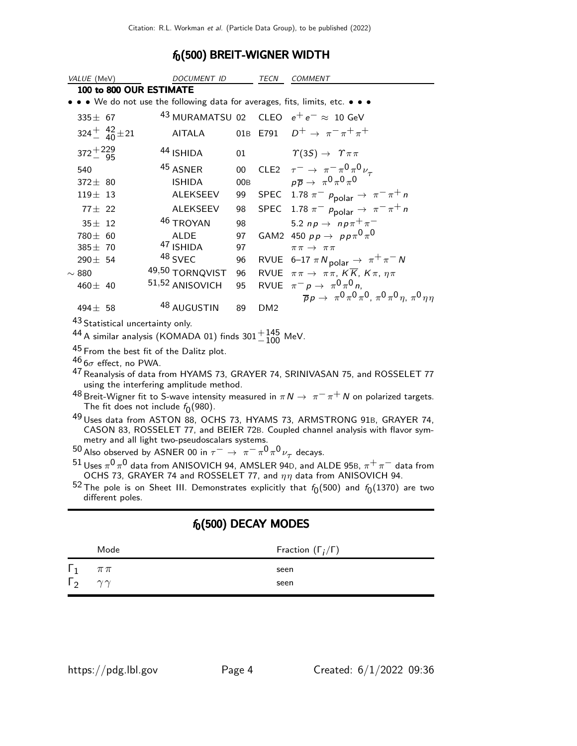## $f_0(500)$  BREIT-WIGNER WIDTH

| VALUE (MeV)                                                                                              | DOCUMENT ID                                                                 |                 | TECN            | COMMENT                                                                                   |  |
|----------------------------------------------------------------------------------------------------------|-----------------------------------------------------------------------------|-----------------|-----------------|-------------------------------------------------------------------------------------------|--|
|                                                                                                          | 100 to 800 OUR ESTIMATE                                                     |                 |                 |                                                                                           |  |
|                                                                                                          | • • We do not use the following data for averages, fits, limits, etc. • • • |                 |                 |                                                                                           |  |
| $335 \pm 67$                                                                                             |                                                                             |                 |                 | $43$ MURAMATSU 02 CLEO $e^+e^- \approx 10$ GeV                                            |  |
| $324^{+}_{-}$ $40^{+}$ $\pm$ 21                                                                          | <b>AITALA</b>                                                               |                 | 01B E791        | $D^+\rightarrow \pi^-\pi^+\pi^+$                                                          |  |
| $372^{+229}_{-95}$                                                                                       | 44 ISHIDA                                                                   | 01              |                 | $\Upsilon(3S) \rightarrow \Upsilon \pi \pi$                                               |  |
| 540                                                                                                      | 45 ASNER                                                                    | $00\,$          |                 | CLE2 $\tau^- \rightarrow \pi^- \pi^0 \pi^0 \nu_\tau$                                      |  |
| $372 \pm 80$                                                                                             | <b>ISHIDA</b>                                                               | 00 <sub>B</sub> |                 | $p\overline{p} \rightarrow \pi^0 \pi^0 \pi^0$                                             |  |
| $119 \pm 13$                                                                                             | <b>ALEKSEEV</b>                                                             | 99              |                 | SPEC 1.78 $\pi^-$ p <sub>polar</sub> $\rightarrow \pi^- \pi^+ n$                          |  |
| $77 \pm 22$                                                                                              | <b>ALEKSEEV</b>                                                             | 98              |                 | SPEC 1.78 $\pi^ p_{\text{polar}} \rightarrow \pi^- \pi^+ n$                               |  |
| $35 \pm 12$                                                                                              | 46 TROYAN                                                                   | 98              |                 | 5.2 np $\rightarrow$ np $\pi^{+}\pi^{-}$                                                  |  |
| $780 \pm 60$                                                                                             | <b>ALDE</b>                                                                 | 97              |                 | GAM2 450 $pp \rightarrow pp \pi^0 \pi^0$                                                  |  |
| $385 \pm 70$                                                                                             | 47 ISHIDA                                                                   | 97              |                 | $\pi \pi \rightarrow \pi \pi$                                                             |  |
| $290 \pm 54$                                                                                             | 48 SVEC                                                                     | 96              |                 | RVUE 6-17 $\pi N_{\text{polar}} \rightarrow \pi^+ \pi^- N$                                |  |
| $\sim$ 880                                                                                               | 49,50 TORNQVIST                                                             | 96              |                 | RVUE $\pi \pi \to \pi \pi$ , $K \overline{K}$ , $K \pi$ , $\eta \pi$                      |  |
| 460 $\pm$ 40                                                                                             | 51,52 ANISOVICH                                                             | 95              |                 | RVUE $\pi^- p \rightarrow \pi^0 \pi^0 n$ ,                                                |  |
|                                                                                                          |                                                                             |                 |                 | $\overline{p}p \to \pi^0 \pi^0 \pi^0$ , $\pi^0 \pi^0 \eta$ , $\pi^0 \eta \eta$            |  |
| $494 \pm 58$                                                                                             | 48 AUGUSTIN                                                                 | 89              | DM <sub>2</sub> |                                                                                           |  |
|                                                                                                          | 43 Statistical uncertainty only.                                            |                 |                 |                                                                                           |  |
|                                                                                                          | <sup>44</sup> A similar analysis (KOMADA 01) finds $301^{+145}_{-100}$ MeV. |                 |                 |                                                                                           |  |
|                                                                                                          | <sup>45</sup> From the best fit of the Dalitz plot.                         |                 |                 |                                                                                           |  |
| $46$ $6\sigma$ effect, no PWA.                                                                           |                                                                             |                 |                 |                                                                                           |  |
|                                                                                                          | using the interfering amplitude method.                                     |                 |                 | <sup>47</sup> Reanalysis of data from HYAMS 73, GRAYER 74, SRINIVASAN 75, and ROSSELET 77 |  |
| $^{48}$ Breit-Wigner fit to S-wave intensity measured in $\pi N \to \pi^- \pi^+ N$ on polarized targets. |                                                                             |                 |                 |                                                                                           |  |
|                                                                                                          | The fit does not include $f_0(980)$ .                                       |                 |                 |                                                                                           |  |
|                                                                                                          |                                                                             |                 |                 | <sup>49</sup> Uses data from ASTON 88, OCHS 73, HYAMS 73, ARMSTRONG 91B, GRAYER 74,       |  |
| CASON 83, ROSSELET 77, and BEIER 72B. Coupled channel analysis with flavor sym-                          |                                                                             |                 |                 |                                                                                           |  |
| metry and all light two-pseudoscalars systems.                                                           |                                                                             |                 |                 |                                                                                           |  |
| <sup>50</sup> Also observed by ASNER 00 in $\tau^- \to \pi^- \pi^0 \pi^0 \nu_\tau$ decays.               |                                                                             |                 |                 |                                                                                           |  |

 $^{51}$  Uses  $\pi^{0}$   $\pi^{0}$  data from ANISOVICH 94, AMSLER 94D, and ALDE 95B,  $\pi^{+}$   $\pi^{-}$  data from OCHS 73, GRAYER 74 and ROSSELET 77, and  $\eta\eta$  data from ANISOVICH 94.

 $^{52}$  The pole is on Sheet III. Demonstrates explicitly that  $f_0(500)$  and  $f_0(1370)$  are two different poles.

 $f_0(500)$  DECAY MODES

|                           | Mode       | Fraction $(\Gamma_i/\Gamma)$ |
|---------------------------|------------|------------------------------|
| $\Gamma_1$                | $\pi\,\pi$ | seen                         |
| $\Gamma_2$ $\gamma\gamma$ |            | seen                         |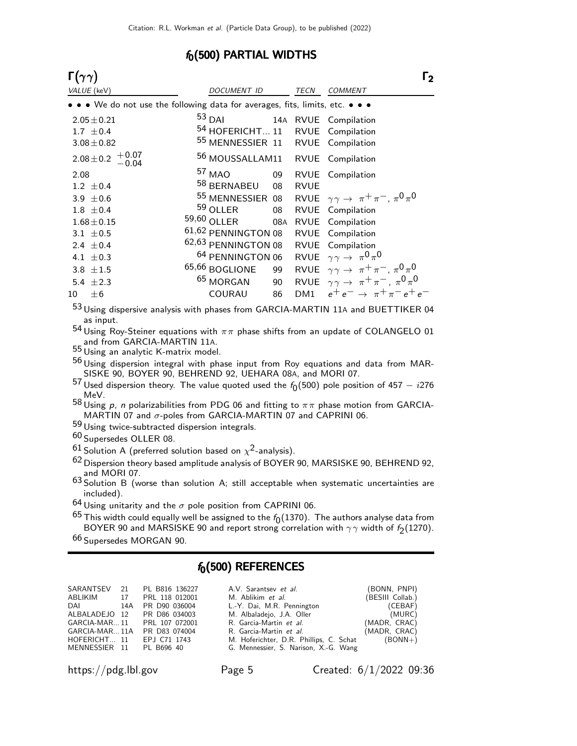#### $f_0(500)$  PARTIAL WIDTHS

| $\Gamma(\gamma\gamma)$ |                                                                               |                                   |     |             | Γ <sub>2</sub>                                                                                                                                                                                                                                                                                                                     |  |
|------------------------|-------------------------------------------------------------------------------|-----------------------------------|-----|-------------|------------------------------------------------------------------------------------------------------------------------------------------------------------------------------------------------------------------------------------------------------------------------------------------------------------------------------------|--|
| VALUE (keV)            |                                                                               | DOCUMENT ID                       |     | TECN        | <b>COMMENT</b>                                                                                                                                                                                                                                                                                                                     |  |
|                        | • • • We do not use the following data for averages, fits, limits, etc. • • • |                                   |     |             |                                                                                                                                                                                                                                                                                                                                    |  |
| $2.05 \pm 0.21$        |                                                                               | $53$ DAI                          |     |             | 14A RVUE Compilation                                                                                                                                                                                                                                                                                                               |  |
| 1.7 $\pm$ 0.4          |                                                                               | 54 HOFERICHT 11 RVUE Compilation  |     |             |                                                                                                                                                                                                                                                                                                                                    |  |
| $3.08 \pm 0.82$        |                                                                               | 55 MENNESSIER 11 RVUE Compilation |     |             |                                                                                                                                                                                                                                                                                                                                    |  |
|                        | $2.08 \pm 0.2 + 0.07 - 0.04$                                                  | 56 MOUSSALLAM11 RVUE Compilation  |     |             |                                                                                                                                                                                                                                                                                                                                    |  |
| 2.08                   |                                                                               | 57 MAO                            | 09  |             | RVUE Compilation                                                                                                                                                                                                                                                                                                                   |  |
| $1.2 \pm 0.4$          |                                                                               | 58 BERNABEU                       | 08  | <b>RVUE</b> |                                                                                                                                                                                                                                                                                                                                    |  |
| 3.9 $\pm$ 0.6          |                                                                               | 55 MENNESSIER 08                  |     |             | RVUE $\gamma \gamma \rightarrow \pi^+ \pi^-$ , $\pi^0 \pi^0$                                                                                                                                                                                                                                                                       |  |
| $1.8 \pm 0.4$          |                                                                               | 59 OLLER                          | 08  |             | RVUE Compilation                                                                                                                                                                                                                                                                                                                   |  |
| $1.68 \pm 0.15$        |                                                                               | 59,60 OLLER                       | 08A |             | RVUE Compilation                                                                                                                                                                                                                                                                                                                   |  |
| 3.1 $\pm$ 0.5          |                                                                               | 61,62 PENNINGTON 08               |     |             | RVUE Compilation                                                                                                                                                                                                                                                                                                                   |  |
| 2.4 $\pm$ 0.4          |                                                                               | 62,63 PENNINGTON 08               |     |             | RVUE Compilation                                                                                                                                                                                                                                                                                                                   |  |
| 4.1 $\pm$ 0.3          |                                                                               | <sup>64</sup> PENNINGTON 06       |     |             | RVUE $\gamma \gamma \rightarrow \pi^0 \pi^0$                                                                                                                                                                                                                                                                                       |  |
| 3.8 $\pm 1.5$          |                                                                               | 65,66 BOGLIONE                    | 99  |             | RVUE $\gamma \gamma \rightarrow \pi^+ \pi^-$ , $\pi^0 \pi^0$                                                                                                                                                                                                                                                                       |  |
| 5.4 $\pm 2.3$          |                                                                               | <sup>65</sup> MORGAN              | 90  |             | RVUE $\gamma \gamma \rightarrow \pi^+ \pi^-$ , $\pi^0 \pi^0$                                                                                                                                                                                                                                                                       |  |
| $\pm 6$<br>10          |                                                                               | COURAU                            | 86  |             | DM1 $e^+e^- \rightarrow \pi^+\pi^-e^+e^-$                                                                                                                                                                                                                                                                                          |  |
|                        |                                                                               |                                   |     |             | $\mathbf{A}$ $\mathbf{A}$ $\mathbf{A}$ $\mathbf{A}$ $\mathbf{A}$ $\mathbf{A}$ $\mathbf{A}$ $\mathbf{A}$ $\mathbf{A}$ $\mathbf{A}$ $\mathbf{A}$ $\mathbf{A}$ $\mathbf{A}$ $\mathbf{A}$ $\mathbf{A}$ $\mathbf{A}$ $\mathbf{A}$ $\mathbf{A}$ $\mathbf{A}$ $\mathbf{A}$ $\mathbf{A}$ $\mathbf{A}$ $\mathbf{A}$ $\mathbf{A}$ $\mathbf{$ |  |

<sup>53</sup> Using dispersive analysis with phases from GARCIA-MARTIN 11A and BUETTIKER 04 as input.

 $^{54}$ Using Roy-Steiner equations with  $\pi\pi$  phase shifts from an update of COLANGELO 01 and from GARCIA-MARTIN 11A. 55 Using an analytic K-matrix model.

 $^{56}$ Using dispersion integral with phase input from Roy equations and data from MAR-SISKE 90, BOYER 90, BEHREND 92, UEHARA 08A, and MORI 07.

 $^{57}$  Used dispersion theory. The value quoted used the  $f_0(500)$  pole position of 457  $i276$ MeV.

 $^{58}$ Using  $\rho$ ,  $n$  polarizabilities from PDG 06 and fitting to  $\pi\pi$  phase motion from GARCIA-MARTIN 07 and  $\sigma$ -poles from GARCIA-MARTIN 07 and CAPRINI 06.

59 Using twice-subtracted dispersion integrals.

60 Supersedes OLLER 08.

 $^{61}$ Solution A (preferred solution based on  $\chi^2$ -analysis).

 $62$  Dispersion theory based amplitude analysis of BOYER 90, MARSISKE 90, BEHREND 92, and MORI 07.

63 Solution B (worse than solution A; still acceptable when systematic uncertainties are included).

 $64$  Using unitarity and the  $\sigma$  pole position from CAPRINI 06.

 $^{65}$  This width could equally well be assigned to the  $f_0(1370)$ . The authors analyse data from BOYER 90 and MARSISKE 90 and report strong correlation with  $\gamma\gamma$  width of  $f_2(1270).$ 

66 Supersedes MORGAN 90.

### $f_0(500)$  REFERENCES

|                          |     | SARANTSEV 21 PL B816 136227 | A.V. Sarantsev et al.                   | (BONN, PNPI)     |
|--------------------------|-----|-----------------------------|-----------------------------------------|------------------|
| ABLIKIM 17               |     | PRL 118 012001              | M. Ablikim et al.                       | (BESIII Collab.) |
| DAI <b>DAI</b>           | 14A | PR D90 036004               | L.-Y. Dai, M.R. Pennington              | (CEBAF)          |
|                          |     | ALBALADEJO 12 PR D86 034003 | M. Albaladejo, J.A. Oller               | (MURC)           |
|                          |     | GARCIA-MAR11 PRL 107 072001 | R. Garcia-Martin et al.                 | (MADR, CRAC)     |
| GARCIA-MAR 11A           |     | PR D83 074004               | R. Garcia-Martin <i>et al.</i>          | (MADR, CRAC)     |
| HOFERICHT 11             |     | EPJ C71 1743                | M. Hoferichter, D.R. Phillips, C. Schat | $(BONN+)$        |
| MENNESSIER 11 PL B696 40 |     |                             | G. Mennessier, S. Narison, X.-G. Wang   |                  |
|                          |     |                             |                                         |                  |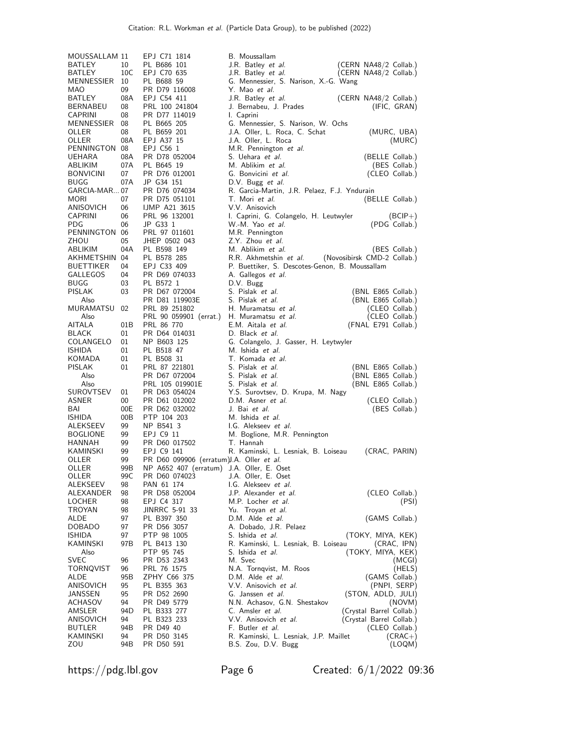| MOUSSALLAM 11              |           | EPJ C71 1814                              | B. Moussallam                                                |
|----------------------------|-----------|-------------------------------------------|--------------------------------------------------------------|
| BATLEY                     | 10        | PL B686 101                               | J.R. Batley <i>et al.</i><br>(CERN NA48/2 Collab.)           |
| BATLEY                     | 10C       | EPJ C70 635                               | J.R. Batley et al.<br>(CERN NA48/2 Collab.)                  |
| MENNESSIER 10              |           | PL B688 59                                | G. Mennessier, S. Narison, X.-G. Wang                        |
| MAO                        | 09        | PR D79 116008                             | Y. Mao <i>et al.</i>                                         |
| BATLEY                     | 08A       | EPJ C54 411                               | J.R. Batley <i>et al.</i><br>(CERN NA48/2 Collab.)           |
| BERNABEU<br><b>CAPRINI</b> | 08<br>08  | PRL 100 241804<br>PR D77 114019           | J. Bernabeu, J. Prades<br>(IFIC, GRAN)                       |
| MENNESSIER 08              |           | PL B665 205                               | I. Caprini<br>G. Mennessier, S. Narison, W. Ochs             |
| OLLER                      | 08        | PL B659 201                               | J.A. Oller, L. Roca, C. Schat<br>(MURC, UBA)                 |
| OLLER                      | 08A       | EPJ A37 15                                | J.A. Oller, L. Roca<br>(MURC)                                |
| PENNINGTON 08              |           | EPJ C56 1                                 | M.R. Pennington et al.                                       |
| UEHARA                     | 08A       | PR D78 052004                             | S. Uehara et al.<br>(BELLE Collab.)                          |
| ABLIKIM                    | 07A       | PL B645 19                                | M. Ablikim et al.<br>(BES Collab.)                           |
| <b>BONVICINI</b>           | 07        | PR D76 012001                             | G. Bonvicini et al.<br>(CLEO Collab.)                        |
| BUGG                       | 07A       | JP G34 151                                | D.V. Bugg et al.                                             |
| GARCIA-MAR07               |           | PR D76 074034                             | R. Garcia-Martin, J.R. Pelaez, F.J. Yndurain                 |
| MORI                       | 07        | PR D75 051101                             | T. Mori et al.<br>(BELLE Collab.)                            |
| ANISOVICH                  | 06        | <b>IJMP A21 3615</b>                      | V.V. Anisovich                                               |
| CAPRINI                    | 06        | PRL 96 132001                             | I. Caprini, G. Colangelo, H. Leutwyler<br>$(BCIP+)$          |
| <b>PDG</b>                 | 06        | JP G33 1                                  | W.-M. Yao et al.<br>(PDG Collab.)                            |
| PENNINGTON 06<br>ZHOU      | 05        | PRL 97 011601<br>JHEP 0502 043            | M.R. Pennington<br>Z.Y. Zhou et al.                          |
| ABLIKIM                    | 04A       | PL B598 149                               | M. Ablikim et al.<br>(BES Collab.)                           |
| AKHMETSHIN 04              |           | PL B578 285                               | R.R. Akhmetshin et al.<br>(Novosibirsk CMD-2 Collab.)        |
| <b>BUETTIKER</b>           | 04        | EPJ C33 409                               | P. Buettiker, S. Descotes-Genon, B. Moussallam               |
| GALLEGOS                   | 04        | PR D69 074033                             | A. Gallegos et al.                                           |
| BUGG                       | 03        | PL B572 1                                 | D.V. Bugg                                                    |
| <b>PISLAK</b>              | 03        | PR D67 072004                             | S. Pislak et al.<br>(BNL E865 Collab.)                       |
| Also                       |           | PR D81 119903E                            | S. Pislak et al.<br>(BNL E865 Collab.)                       |
| MURAMATSU 02               |           | PRL 89 251802                             | H. Muramatsu et al.<br>(CLEO Collab.)                        |
| Also                       |           | PRL 90 059901 (errat.)                    | (CLEO Collab.)<br>H. Muramatsu et al.                        |
| AITALA                     | 01B       | PRL 86 770                                | E.M. Aitala et al.<br>(FNAL E791 Collab.)                    |
| <b>BLACK</b>               | 01        | PR D64 014031                             | D. Black et al.                                              |
| COLANGELO                  | 01        | NP B603 125                               | G. Colangelo, J. Gasser, H. Leytwyler                        |
| <b>ISHIDA</b>              | 01        | PL B518 47                                | M. Ishida et al.<br>T. Komada et al.                         |
| KOMADA<br>PISLAK           | 01<br>01  | PL B508 31<br>PRL 87 221801               | S. Pislak <i>et al.</i><br>(BNL E865 Collab.)                |
| Also                       |           | PR D67 072004                             | S. Pislak et al.<br>(BNL E865 Collab.)                       |
| Also                       |           | PRL 105 019901E                           | S. Pislak et al.<br>(BNL E865 Collab.)                       |
| SUROVTSEV                  | 01        | PR D63 054024                             | Y.S. Surovtsev, D. Krupa, M. Nagy                            |
| ASNER                      | 00        | PR D61 012002                             | D.M. Asner et al.<br>(CLEO Collab.)                          |
| BAI                        | 00E       | PR D62 032002                             | J. Bai et al.<br>(BES Collab.)                               |
| <b>ISHIDA</b>              | 00B       | PTP 104 203                               | M. Ishida et al.                                             |
| ALEKSEEV                   | 99        | NP B541 3                                 | I.G. Alekseev et al.                                         |
| <b>BOGLIONE</b>            | 99        | EPJ C9 11                                 | M. Boglione, M.R. Pennington                                 |
| HANNAH                     | 99        | PR D60 017502                             | T. Hannah                                                    |
| KAMINSKI                   | 99        | EPJ C9 141                                | R. Kaminski, L. Lesniak, B. Loiseau<br>(CRAC, PARIN)         |
| OLLER                      | 99        | PR D60 099906 (erratum) J.A. Oller et al. |                                                              |
| OLLER                      | 99B       | NP A652 407 (erratum) J.A. Oller, E. Oset |                                                              |
| OLLER<br>ALEKSEEV          | 99C<br>98 | PR D60 074023<br>PAN 61 174               | J.A. Oller, E. Oset<br>I.G. Alekseev et al.                  |
| ALEXANDER                  | 98        | PR D58 052004                             | J.P. Alexander <i>et al.</i><br>(CLEO Collab.)               |
| LOCHER                     | 98        | EPJ C4 317                                | M.P. Locher et al.<br>(PSI)                                  |
| TROYAN                     | 98        | JINRRC 5-91 33                            | Yu. Troyan et al.                                            |
| ALDE                       | 97        | PL B397 350                               | D.M. Alde <i>et al.</i><br>(GAMS Collab.)                    |
| DOBADO                     | 97        | PR D56 3057                               | A. Dobado, J.R. Pelaez                                       |
| ISHIDA                     | 97        | PTP 98 1005                               | S. Ishida et al.<br>(TOKY, MIYA, KEK)                        |
| KAMINSKI                   | 97B       | PL B413 130                               | R. Kaminski, L. Lesniak, B. Loiseau<br>(CRAC, IPN)           |
| Also                       |           | PTP 95 745                                | S. Ishida et al.<br>(TOKY, MIYA, KEK)                        |
| SVEC                       | 96        | PR D53 2343                               | M. Svec<br>(MCGI)                                            |
| TORNQVIST                  | 96        | PRL 76 1575                               | N.A. Tornqvist, M. Roos<br>(HELS)                            |
| ALDE                       | 95B       | ZPHY C66 375                              | D.M. Alde et al.<br>(GAMS Collab.)                           |
| ANISOVICH<br>JANSSEN       | 95<br>95  | PL B355 363<br>PR D52 2690                | V.V. Anisovich et al.<br>(PNPI, SERP)<br>G. Janssen et al.   |
| ACHASOV                    | 94        | PR D49 5779                               | (STON, ADLD, JULI)<br>N.N. Achasov, G.N. Shestakov<br>(NOVM) |
| AMSLER                     | 94D       | PL B333 277                               | C. Amsler et al.<br>(Crystal Barrel Collab.)                 |
| ANISOVICH                  | 94        | PL B323 233                               | V.V. Anisovich et al.<br>(Crystal Barrel Collab.)            |
| <b>BUTLER</b>              | 94B       | PR D49 40                                 | F. Butler <i>et al.</i><br>(CLEO Collab.)                    |
| KAMINSKI                   | 94        | PR D50 3145                               | R. Kaminski, L. Lesniak, J.P. Maillet<br>$(CRAC+)$           |
|                            |           | PR D50 591                                | B.S. Zou, D.V. Bugg<br>(LOQM)                                |